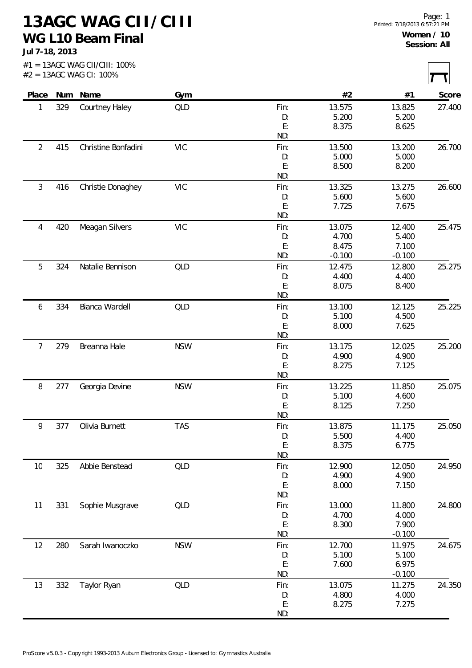**13AGC WAG CII/CIII WG L10 Beam Final**

**Jul 7-18, 2013**

ſ

|                |     | #2 = 13AGC WAG CI: 100% |            |            |          |          |        |
|----------------|-----|-------------------------|------------|------------|----------|----------|--------|
| Place          | Num | Name                    | Gym        |            | #2       | #1       | Score  |
| 1              | 329 | Courtney Haley          | QLD        | Fin:       | 13.575   | 13.825   | 27.400 |
|                |     |                         |            | D:         | 5.200    | 5.200    |        |
|                |     |                         |            | E:         | 8.375    | 8.625    |        |
|                |     |                         |            | ND:        |          |          |        |
| $\overline{2}$ | 415 | Christine Bonfadini     | <b>VIC</b> | Fin:       | 13.500   | 13.200   | 26.700 |
|                |     |                         |            | D:         | 5.000    | 5.000    |        |
|                |     |                         |            | E:         | 8.500    | 8.200    |        |
|                |     |                         |            | ND:        |          |          |        |
| $\mathfrak{Z}$ | 416 | Christie Donaghey       | <b>VIC</b> | Fin:       | 13.325   | 13.275   | 26.600 |
|                |     |                         |            | D:         | 5.600    | 5.600    |        |
|                |     |                         |            | E:         | 7.725    | 7.675    |        |
|                |     |                         |            | ND:        |          |          |        |
| 4              | 420 | Meagan Silvers          | <b>VIC</b> | Fin:       | 13.075   | 12.400   | 25.475 |
|                |     |                         |            | D:         | 4.700    | 5.400    |        |
|                |     |                         |            | E:         | 8.475    | 7.100    |        |
|                |     |                         |            | ND:        | $-0.100$ | $-0.100$ |        |
| 5              | 324 | Natalie Bennison        | QLD        | Fin:       | 12.475   | 12.800   | 25.275 |
|                |     |                         |            | D:         | 4.400    | 4.400    |        |
|                |     |                         |            | E:         | 8.075    | 8.400    |        |
|                |     |                         |            | ND:        |          |          |        |
| 6              | 334 | Bianca Wardell          | <b>QLD</b> | Fin:       | 13.100   | 12.125   | 25.225 |
|                |     |                         |            | D:         | 5.100    | 4.500    |        |
|                |     |                         |            | E:         | 8.000    | 7.625    |        |
|                |     |                         |            | ND:        |          |          |        |
| $\overline{7}$ | 279 | Breanna Hale            | <b>NSW</b> | Fin:       | 13.175   | 12.025   | 25.200 |
|                |     |                         |            | D:         | 4.900    | 4.900    |        |
|                |     |                         |            | E:         | 8.275    | 7.125    |        |
|                |     |                         |            | ND:        |          |          |        |
| $\, 8$         | 277 | Georgia Devine          | <b>NSW</b> | Fin:       | 13.225   | 11.850   | 25.075 |
|                |     |                         |            | D:         | 5.100    | 4.600    |        |
|                |     |                         |            | E:         | 8.125    | 7.250    |        |
|                |     |                         |            | ND:        |          |          |        |
| 9              | 377 | Olivia Burnett          | <b>TAS</b> | Fin:       | 13.875   | 11.175   | 25.050 |
|                |     |                         |            | D:         | 5.500    | 4.400    |        |
|                |     |                         |            | E:         | 8.375    | 6.775    |        |
|                |     |                         |            | ND:        |          |          |        |
|                | 325 | Abbie Benstead          | <b>QLD</b> |            | 12.900   | 12.050   | 24.950 |
| 10             |     |                         |            | Fin:<br>D: | 4.900    | 4.900    |        |
|                |     |                         |            | E:         | 8.000    | 7.150    |        |
|                |     |                         |            | ND:        |          |          |        |
| 11             | 331 |                         | QLD        | Fin:       | 13.000   | 11.800   | 24.800 |
|                |     | Sophie Musgrave         |            | D:         | 4.700    | 4.000    |        |
|                |     |                         |            | E:         | 8.300    | 7.900    |        |
|                |     |                         |            | ND:        |          |          |        |
|                |     |                         |            |            |          | $-0.100$ |        |
| 12             | 280 | Sarah Iwanoczko         | <b>NSW</b> | Fin:       | 12.700   | 11.975   | 24.675 |
|                |     |                         |            | D:         | 5.100    | 5.100    |        |
|                |     |                         |            | E:         | 7.600    | 6.975    |        |
|                |     |                         |            | ND:        |          | $-0.100$ |        |
| 13             | 332 | Taylor Ryan             | QLD        | Fin:       | 13.075   | 11.275   | 24.350 |
|                |     |                         |            | D:         | 4.800    | 4.000    |        |
|                |     |                         |            | E:         | 8.275    | 7.275    |        |
|                |     |                         |            | ND:        |          |          |        |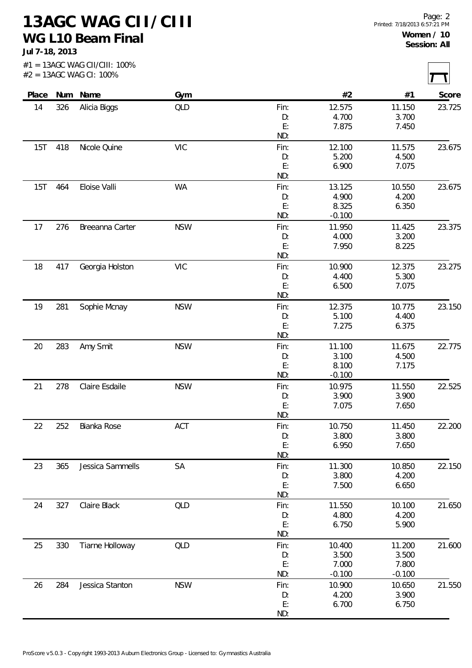**13AGC WAG CII/CIII WG L10 Beam Final**

**Jul 7-18, 2013**

 $#1 = 13AGC$  WAG CII/CIII: 100%

 $\overline{\phantom{0}}$  $\overline{\phantom{0}}$ 

| Place |     | Num Name         | Gym        |      | #2       | #1       | Score  |
|-------|-----|------------------|------------|------|----------|----------|--------|
| 14    | 326 | Alicia Biggs     | QLD        | Fin: | 12.575   | 11.150   | 23.725 |
|       |     |                  |            | D:   | 4.700    | 3.700    |        |
|       |     |                  |            | E:   | 7.875    | 7.450    |        |
|       |     |                  |            | ND:  |          |          |        |
| 15T   | 418 | Nicole Quine     | <b>VIC</b> | Fin: | 12.100   | 11.575   | 23.675 |
|       |     |                  |            | D:   | 5.200    | 4.500    |        |
|       |     |                  |            | E:   | 6.900    | 7.075    |        |
|       |     |                  |            | ND:  |          |          |        |
| 15T   | 464 | Eloise Valli     | WA         | Fin: | 13.125   | 10.550   | 23.675 |
|       |     |                  |            | D:   | 4.900    | 4.200    |        |
|       |     |                  |            | E:   | 8.325    | 6.350    |        |
|       |     |                  |            | ND:  | $-0.100$ |          |        |
| 17    | 276 | Breeanna Carter  | <b>NSW</b> | Fin: | 11.950   | 11.425   | 23.375 |
|       |     |                  |            | D:   | 4.000    | 3.200    |        |
|       |     |                  |            | E:   | 7.950    | 8.225    |        |
|       |     |                  |            | ND:  |          |          |        |
| 18    | 417 | Georgia Holston  | <b>VIC</b> | Fin: | 10.900   | 12.375   | 23.275 |
|       |     |                  |            | D:   | 4.400    | 5.300    |        |
|       |     |                  |            | E:   | 6.500    | 7.075    |        |
|       |     |                  |            | ND:  |          |          |        |
| 19    | 281 | Sophie Mcnay     | <b>NSW</b> | Fin: | 12.375   | 10.775   | 23.150 |
|       |     |                  |            | D:   | 5.100    | 4.400    |        |
|       |     |                  |            | E:   | 7.275    | 6.375    |        |
|       |     |                  |            | ND:  |          |          |        |
| 20    | 283 | Amy Smit         | <b>NSW</b> | Fin: | 11.100   | 11.675   | 22.775 |
|       |     |                  |            | D:   | 3.100    | 4.500    |        |
|       |     |                  |            | E:   | 8.100    | 7.175    |        |
|       |     |                  |            | ND:  | $-0.100$ |          |        |
| 21    | 278 | Claire Esdaile   | <b>NSW</b> | Fin: | 10.975   | 11.550   | 22.525 |
|       |     |                  |            | D:   | 3.900    | 3.900    |        |
|       |     |                  |            | E:   | 7.075    | 7.650    |        |
|       |     |                  |            | ND:  |          |          |        |
| 22    | 252 | Bianka Rose      | ACT        | Fin: | 10.750   | 11.450   | 22.200 |
|       |     |                  |            | D:   | 3.800    | 3.800    |        |
|       |     |                  |            | E:   | 6.950    | 7.650    |        |
|       |     |                  |            | ND:  |          |          |        |
| 23    | 365 | Jessica Sammells | SA         | Fin: | 11.300   | 10.850   | 22.150 |
|       |     |                  |            | D:   | 3.800    | 4.200    |        |
|       |     |                  |            | E:   | 7.500    | 6.650    |        |
|       |     |                  |            | ND:  |          |          |        |
| 24    | 327 | Claire Black     | <b>QLD</b> | Fin: | 11.550   | 10.100   | 21.650 |
|       |     |                  |            | D:   | 4.800    | 4.200    |        |
|       |     |                  |            | E:   | 6.750    | 5.900    |        |
|       |     |                  |            | ND:  |          |          |        |
| 25    | 330 | Tiarne Holloway  | <b>QLD</b> | Fin: | 10.400   | 11.200   | 21.600 |
|       |     |                  |            | D:   | 3.500    | 3.500    |        |
|       |     |                  |            | E:   | 7.000    | 7.800    |        |
|       |     |                  |            | ND:  | $-0.100$ | $-0.100$ |        |
| 26    | 284 | Jessica Stanton  | <b>NSW</b> | Fin: | 10.900   | 10.650   | 21.550 |
|       |     |                  |            | D:   | 4.200    | 3.900    |        |
|       |     |                  |            | E:   | 6.700    | 6.750    |        |
|       |     |                  |            | ND:  |          |          |        |
|       |     |                  |            |      |          |          |        |